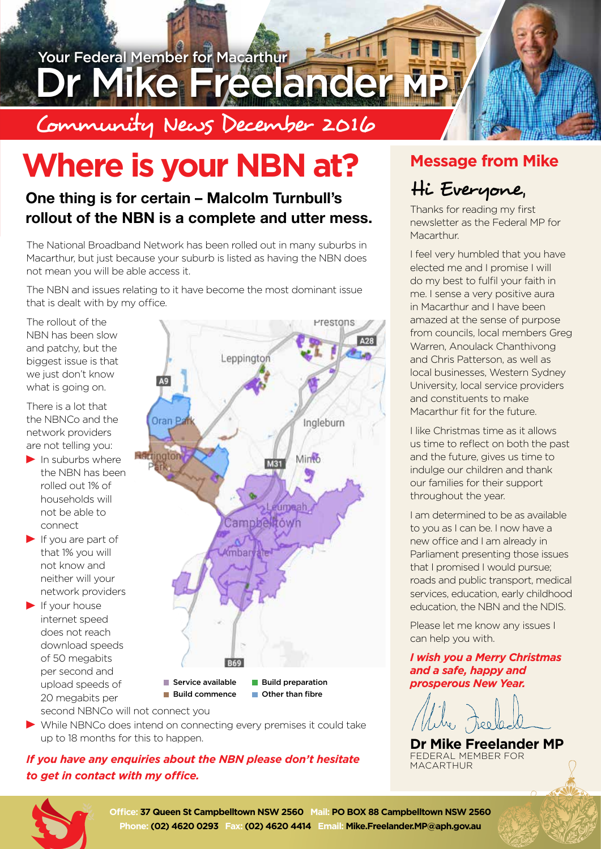

# **Where is your NBN at?**

### **One thing is for certain – Malcolm Turnbull's rollout of the NBN is a complete and utter mess.**

The National Broadband Network has been rolled out in many suburbs in Macarthur, but just because your suburb is listed as having the NBN does not mean you will be able access it.

The NBN and issues relating to it have become the most dominant issue that is dealt with by my office.

The rollout of the NBN has been slow and patchy, but the biggest issue is that we just don't know what is going on.

There is a lot that the NBNCo and the network providers are not telling you:

- $\blacktriangleright$  In suburbs where the NBN has been rolled out 1% of households will not be able to connect
- $\blacktriangleright$  If you are part of that 1% you will not know and neither will your network providers
- $\blacktriangleright$  If your house internet speed does not reach download speeds of 50 megabits per second and upload speeds of 20 megabits per second NBNCo will not connect you



While NBNCo does intend on connecting every premises it could take up to 18 months for this to happen.

#### *If you have any enquiries about the NBN please don't hesitate to get in contact with my office.*

### **Message from Mike**

### Hi Everyone,

Thanks for reading my first newsletter as the Federal MP for Macarthur.

I feel very humbled that you have elected me and I promise I will do my best to fulfil your faith in me. I sense a very positive aura in Macarthur and I have been amazed at the sense of purpose from councils, local members Greg Warren, Anoulack Chanthivong and Chris Patterson, as well as local businesses, Western Sydney University, local service providers and constituents to make Macarthur fit for the future.

I like Christmas time as it allows us time to reflect on both the past and the future, gives us time to indulge our children and thank our families for their support throughout the year.

I am determined to be as available to you as I can be. I now have a new office and I am already in Parliament presenting those issues that I promised I would pursue; roads and public transport, medical services, education, early childhood education, the NBN and the NDIS.

Please let me know any issues I can help you with.

#### *I wish you a Merry Christmas and a safe, happy and prosperous New Year.*

heo

**Dr Mike Freelander MP** FEDERAL MEMBER FOR MACARTHUR



Office: 37 Queen St Campbelltown NSW 2560 Mail: PO BOX 88 Campbelltown NSW 2560 **Phone: (02) 4620 0293 Fax: (02) 4620 4414 Email: Mike.Freelander.MP@aph.gov.au**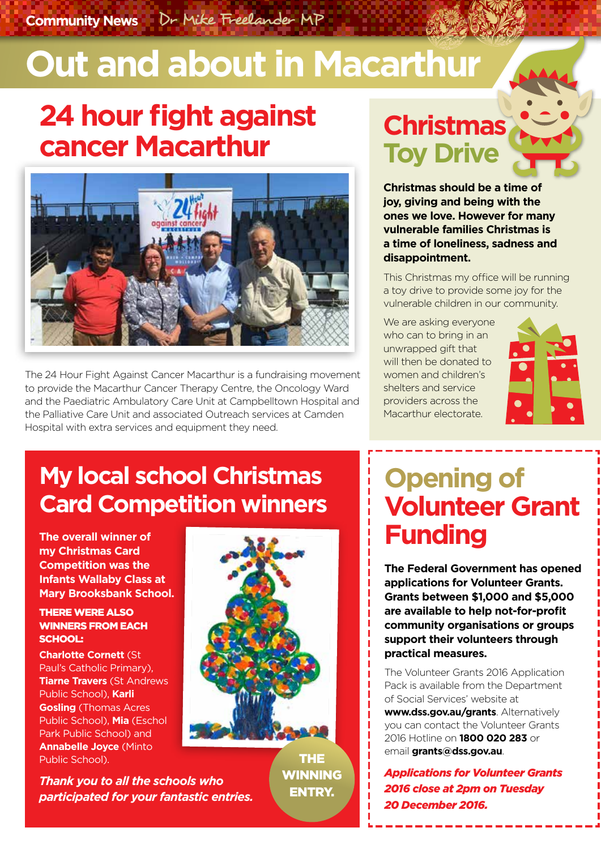**Community News** Dr Mike Freelander MP

# **Out and about in Macarthur**

## **24 hour fight against cancer Macarthur**



The 24 Hour Fight Against Cancer Macarthur is a fundraising movement to provide the Macarthur Cancer Therapy Centre, the Oncology Ward and the Paediatric Ambulatory Care Unit at Campbelltown Hospital and the Palliative Care Unit and associated Outreach services at Camden Hospital with extra services and equipment they need.

## **Christmas Toy Drive**

**Christmas should be a time of joy, giving and being with the ones we love. However for many vulnerable families Christmas is a time of loneliness, sadness and disappointment.** 

This Christmas my office will be running a toy drive to provide some joy for the vulnerable children in our community.

We are asking everyone who can to bring in an unwrapped gift that will then be donated to women and children's shelters and service providers across the Macarthur electorate.



### **My local school Christmas Card Competition winners**

**The overall winner of my Christmas Card Competition was the Infants Wallaby Class at Mary Brooksbank School.** 

#### THERE WERE ALSO WINNERS FROM EACH SCHOOL:

**Charlotte Cornett** (St Paul's Catholic Primary), **Tiarne Travers** (St Andrews Public School), **Karli Gosling** (Thomas Acres Public School), **Mia** (Eschol Park Public School) and **Annabelle Joyce** (Minto Public School).

*Thank you to all the schools who participated for your fantastic entries.* 



THE **WINNING** ENTRY.

## **Opening of Volunteer Grant Funding**

**The Federal Government has opened applications for Volunteer Grants. Grants between \$1,000 and \$5,000 are available to help not-for-profit community organisations or groups support their volunteers through practical measures.** 

The Volunteer Grants 2016 Application Pack is available from the Department of Social Services' website at **www.dss.gov.au/grants**. Alternatively you can contact the Volunteer Grants 2016 Hotline on **1800 020 283** or email **grants@dss.gov.au**.

*Applications for Volunteer Grants 2016 close at 2pm on Tuesday 20 December 2016.*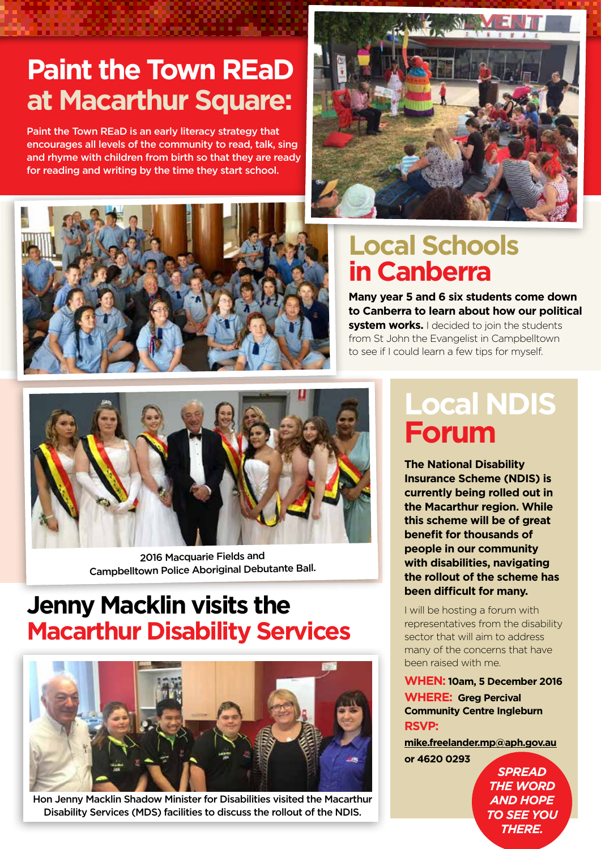## **Paint the Town REaD at Macarthur Square:**

Paint the Town REaD is an early literacy strategy that encourages all levels of the community to read, talk, sing and rhyme with children from birth so that they are ready for reading and writing by the time they start school.





### **Local Schools in Canberra**

**Many year 5 and 6 six students come down to Canberra to learn about how our political system works.** I decided to join the students from St John the Evangelist in Campbelltown to see if I could learn a few tips for myself.



2016 Macquarie Fields and Campbelltown Police Aboriginal Debutante Ball.

### **Jenny Macklin visits the Macarthur Disability Services**



Hon Jenny Macklin Shadow Minister for Disabilities visited the Macarthur Disability Services (MDS) facilities to discuss the rollout of the NDIS.

## **Local NDIS Forum**

**The National Disability Insurance Scheme (NDIS) is currently being rolled out in the Macarthur region. While this scheme will be of great benefit for thousands of people in our community with disabilities, navigating the rollout of the scheme has been difficult for many.** 

I will be hosting a forum with representatives from the disability sector that will aim to address many of the concerns that have been raised with me.

**WHEN: 10am, 5 December 2016 WHERE: Greg Percival Community Centre Ingleburn RSVP:** 

**mike.freelander.mp@aph.gov.au or 4620 0293**

> *SPREAD*  **THE WORD** *AND HOPE TO SEE YOU THERE.*